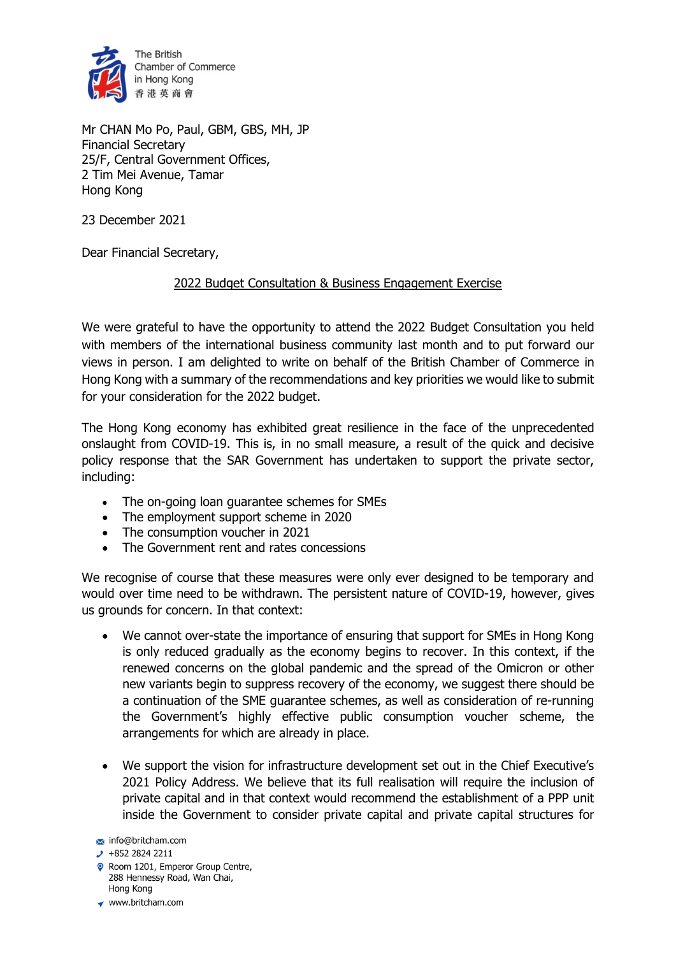

Mr CHAN Mo Po, Paul, GBM, GBS, MH, JP Financial Secretary 25/F, Central Government Offices, 2 Tim Mei Avenue, Tamar Hong Kong

23 December 2021

Dear Financial Secretary,

## 2022 Budget Consultation & Business Engagement Exercise

We were grateful to have the opportunity to attend the 2022 Budget Consultation you held with members of the international business community last month and to put forward our views in person. I am delighted to write on behalf of the British Chamber of Commerce in Hong Kong with a summary of the recommendations and key priorities we would like to submit for your consideration for the 2022 budget.

The Hong Kong economy has exhibited great resilience in the face of the unprecedented onslaught from COVID-19. This is, in no small measure, a result of the quick and decisive policy response that the SAR Government has undertaken to support the private sector, including:

- The on-going loan guarantee schemes for SMEs
- The employment support scheme in 2020
- The consumption voucher in 2021
- The Government rent and rates concessions

We recognise of course that these measures were only ever designed to be temporary and would over time need to be withdrawn. The persistent nature of COVID-19, however, gives us grounds for concern. In that context:

- We cannot over-state the importance of ensuring that support for SMEs in Hong Kong is only reduced gradually as the economy begins to recover. In this context, if the renewed concerns on the global pandemic and the spread of the Omicron or other new variants begin to suppress recovery of the economy, we suggest there should be a continuation of the SME guarantee schemes, as well as consideration of re-running the Government's highly effective public consumption voucher scheme, the arrangements for which are already in place.
- We support the vision for infrastructure development set out in the Chief Executive's 2021 Policy Address. We believe that its full realisation will require the inclusion of private capital and in that context would recommend the establishment of a PPP unit inside the Government to consider private capital and private capital structures for
- info@britcham.com

- Room 1201, Emperor Group Centre, 288 Hennessy Road, Wan Chai, Hong Kong
- www.britcham.com

 $\cdot$  +852 2824 2211